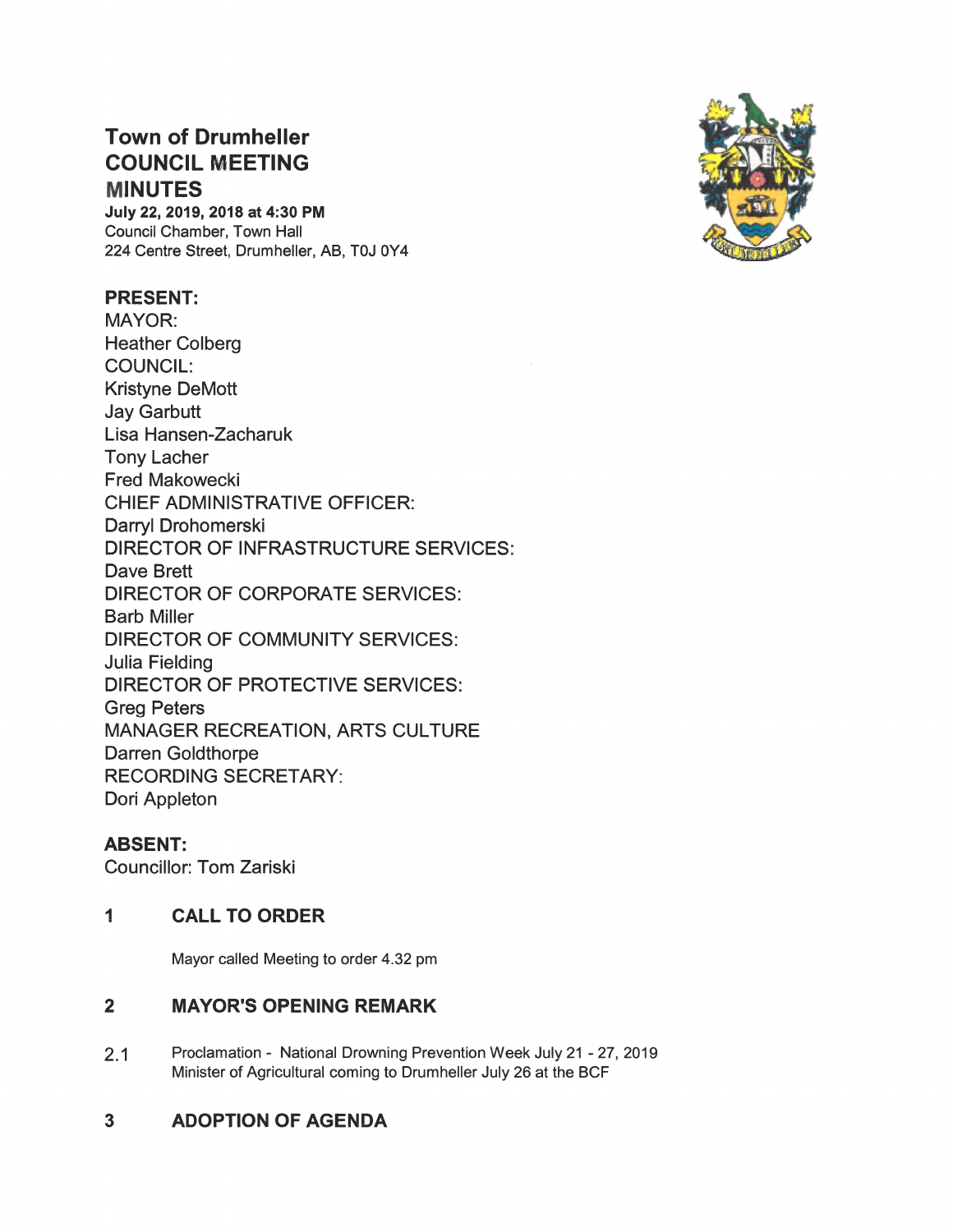# Town of Drumheller COUNCIL MEETING **MINUTES**

July 22, 2019, 2018 at 4:30 PM Council Chamber, Town Hall 224 Centre Street, Drumheller, AB, TOJ OY4

## PRESENT:

MAYOR: Heather Colberg COUNCIL: Kristyne DeMott Jay Garbutt Lisa Hansen-Zacharuk Tony Lacher Fred Makowecki CHIEF ADMINISTRATIVE OFFICER: Darryl Drohomerski DIRECTOR OF INFRASTRUCTURE SERVICES: Dave Brett DIRECTOR OF CORPORATE SERVICES: Barb Miller DIRECTOR OF COMMUNITY SERVICES: **Julia Fielding** DIRECTOR OF PROTECTIVE SERVICES: Greg Peters MANAGER RECREATION, ARTS CULTURE Darren Goldthorpe RECORDING SECRETARY Dori Appleton

## ABSENT:

Councillor: Tom Zariski

## 1 CALL TO ORDER

Mayor called Meeting to order 4.32 pm

## $\overline{2}$ MAYOR'S OPENING REMARK

2.1 Proclamation - National Drowning Prevention Week July 21 - 27, 2019 Minister of Agricultural coming to Drumheller July 26 at the BCF

## 3 ADOPTION OF AGENDA

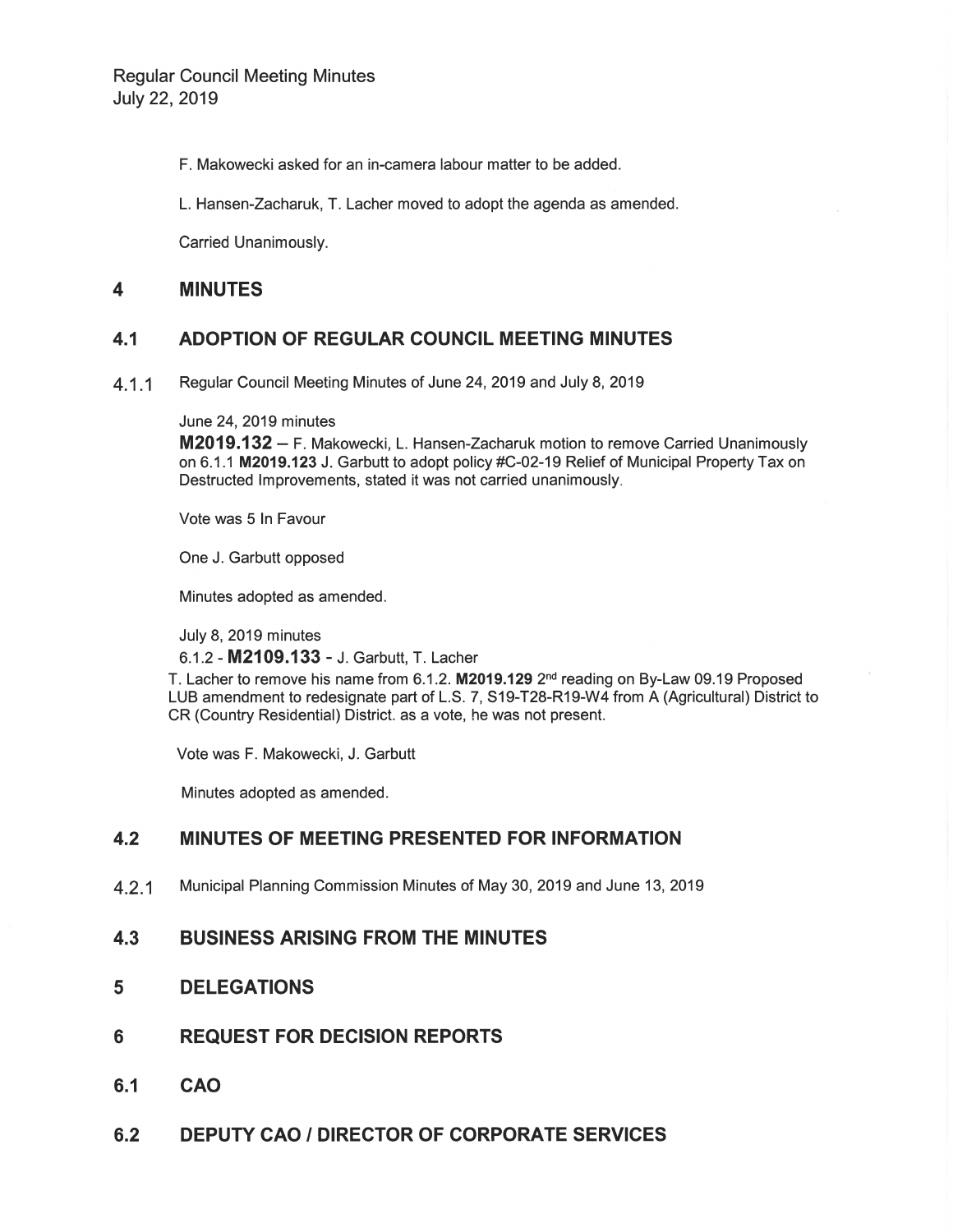F. Makowecki asked for an in-camera labour matter to be added.

L. Hansen-Zacharuk, T. Lacher moved to adopt the agenda as amended.

Carried Unanimously.

#### $\overline{\mathbf{4}}$ **MINUTES**

### ADOPTION OF REGULAR COUNCIL MEETING MINUTES  $4.1$

Regular Council Meeting Minutes of June 24, 2019 and July 8, 2019  $4.1.1$ 

June 24, 2019 minutes

M2019.132 - F. Makowecki, L. Hansen-Zacharuk motion to remove Carried Unanimously on 6.1.1 M2019.123 J. Garbutt to adopt policy #C-02-19 Relief of Municipal Property Tax on Destructed Improvements, stated it was not carried unanimously.

Vote was 5 In Favour

One J. Garbutt opposed

Minutes adopted as amended.

July 8, 2019 minutes

6.1.2 - M2109.133 - J. Garbutt, T. Lacher

T. Lacher to remove his name from 6.1.2. M2019.129 2<sup>nd</sup> reading on By-Law 09.19 Proposed LUB amendment to redesignate part of L.S. 7, S19-T28-R19-W4 from A (Agricultural) District to CR (Country Residential) District. as a vote, he was not present.

Vote was F. Makowecki, J. Garbutt

Minutes adopted as amended.

## $4.2$ MINUTES OF MEETING PRESENTED FOR INFORMATION

Municipal Planning Commission Minutes of May 30, 2019 and June 13, 2019  $4.2.1$ 

## $4.3$ **BUSINESS ARISING FROM THE MINUTES**

- 5 **DELEGATIONS**
- **REQUEST FOR DECISION REPORTS** 6
- $6.1$ **CAO**
- **DEPUTY CAO / DIRECTOR OF CORPORATE SERVICES**  $6.2$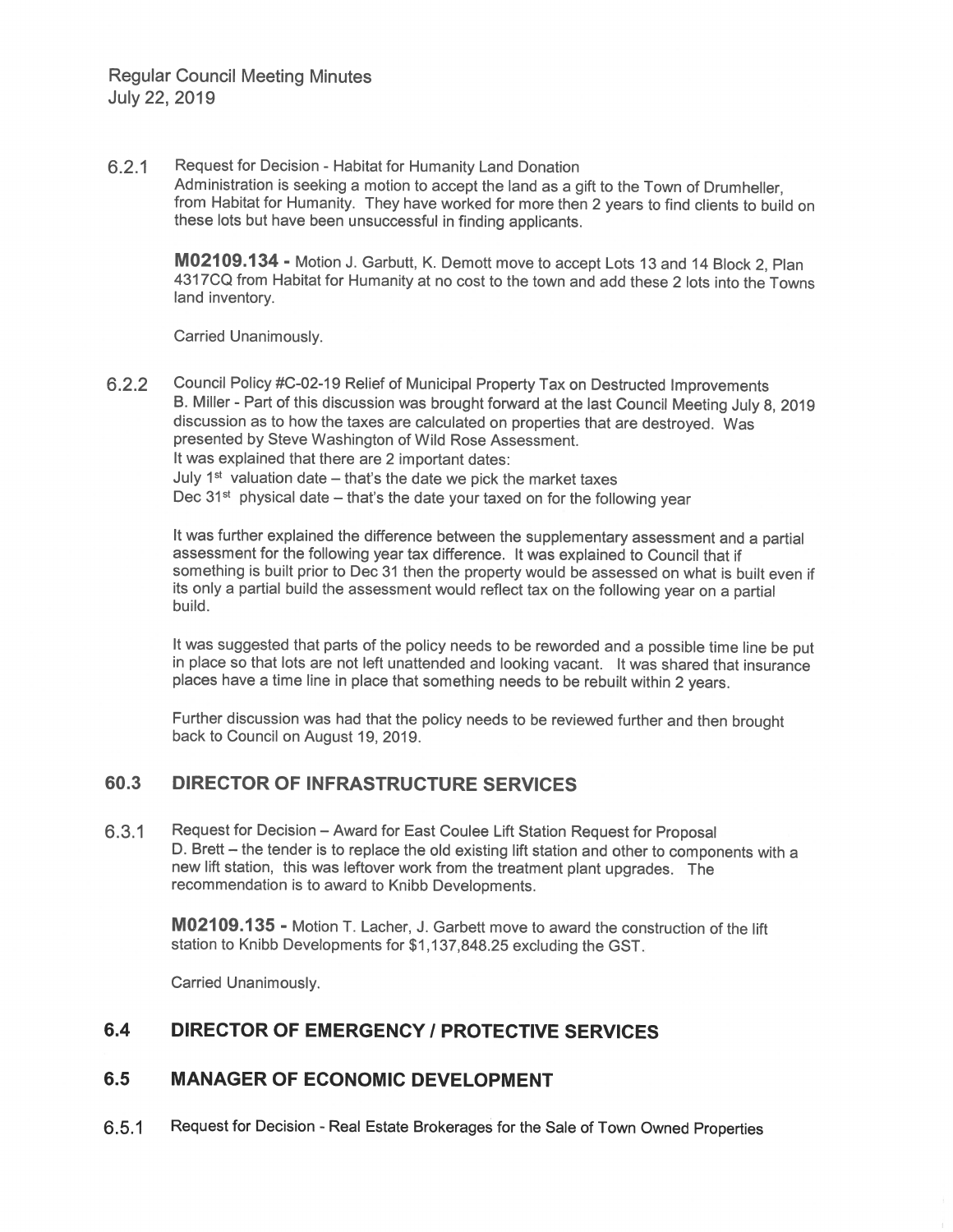#### $6.2.1$ Request for Decision - Habitat for Humanity Land Donation

Administration is seeking a motion to accept the land as a gift to the Town of Drumheller, from Habitat for Humanity. They have worked for more then 2 years to find clients to build on these lots but have been unsuccessful in finding applicants.

M02109.134 - Motion J. Garbutt, K. Demott move to accept Lots 13 and 14 Block 2, Plan 4317CQ from Habitat for Humanity at no cost to the town and add these 2 lots into the Towns land inventory.

Carried Unanimously.

Council Policy #C-02-19 Relief of Municipal Property Tax on Destructed Improvements  $6.2.2$ B. Miller - Part of this discussion was brought forward at the last Council Meeting July 8, 2019 discussion as to how the taxes are calculated on properties that are destroved. Was presented by Steve Washington of Wild Rose Assessment. It was explained that there are 2 important dates: July  $1<sup>st</sup>$  valuation date – that's the date we pick the market taxes Dec  $31<sup>st</sup>$  physical date – that's the date your taxed on for the following year

It was further explained the difference between the supplementary assessment and a partial assessment for the following year tax difference. It was explained to Council that if something is built prior to Dec 31 then the property would be assessed on what is built even if its only a partial build the assessment would reflect tax on the following year on a partial build.

It was suggested that parts of the policy needs to be reworded and a possible time line be put in place so that lots are not left unattended and looking vacant. It was shared that insurance places have a time line in place that something needs to be rebuilt within 2 years.

Further discussion was had that the policy needs to be reviewed further and then brought back to Council on August 19, 2019.

## 60.3 **DIRECTOR OF INFRASTRUCTURE SERVICES**

 $6.3.1$ Request for Decision - Award for East Coulee Lift Station Request for Proposal D. Brett - the tender is to replace the old existing lift station and other to components with a new lift station, this was leftover work from the treatment plant upgrades. The recommendation is to award to Knibb Developments.

M02109.135 - Motion T. Lacher, J. Garbett move to award the construction of the lift station to Knibb Developments for \$1,137,848.25 excluding the GST.

Carried Unanimously.

## $6.4$ **DIRECTOR OF EMERGENCY / PROTECTIVE SERVICES**

### $6.5$ **MANAGER OF ECONOMIC DEVELOPMENT**

Request for Decision - Real Estate Brokerages for the Sale of Town Owned Properties  $6.5.1$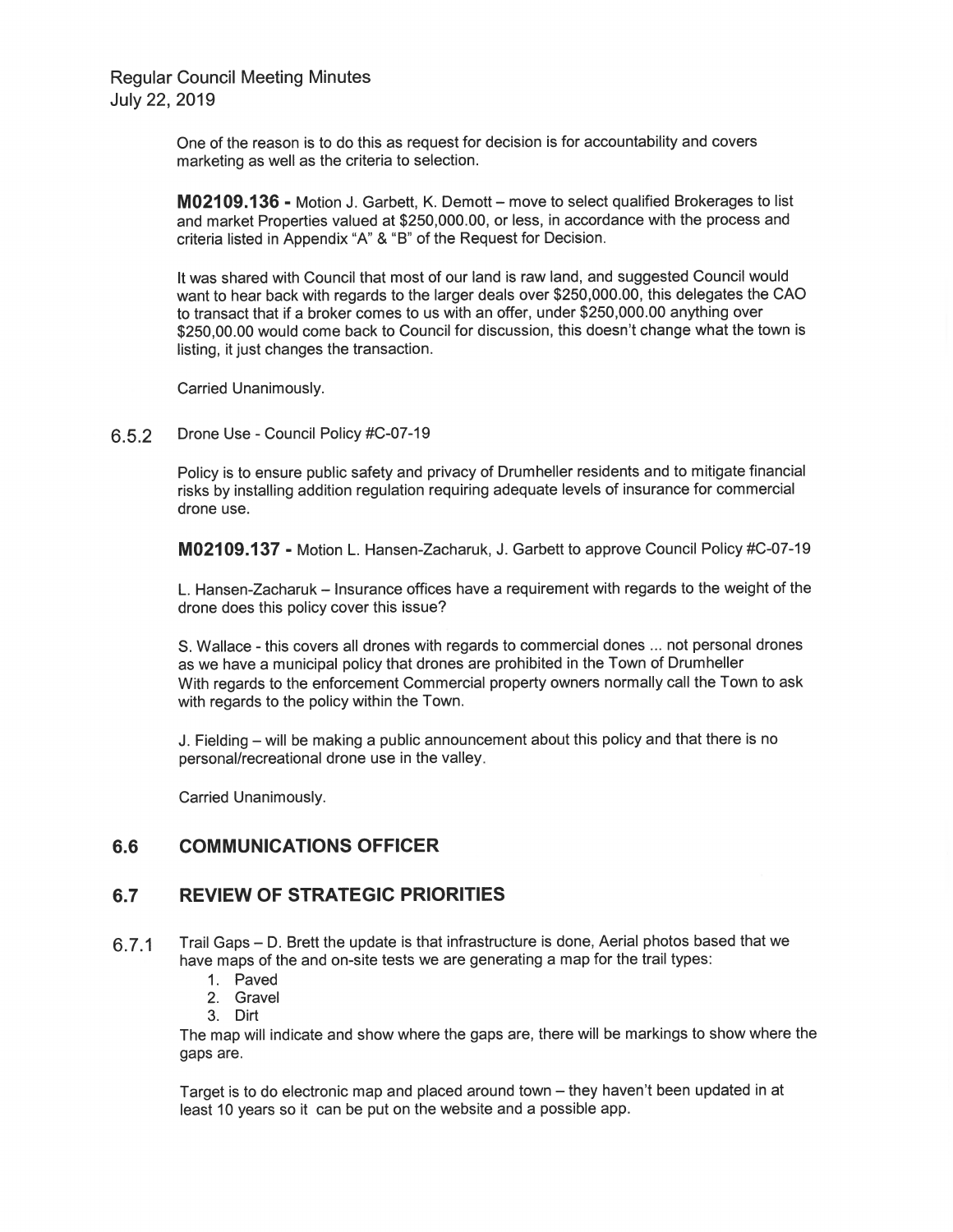> One of the reason is to do this as request for decision is for accountability and covers marketing as well as the criteria to selection.

M02109.136 - Motion J. Garbett, K. Demott - move to select qualified Brokerages to list and market Properties valued at \$250,000.00, or less, in accordance with the process and criteria listed in Appendix "A" & "B" of the Request for Decision.

It was shared with Council that most of our land is raw land, and suggested Council would want to hear back with regards to the larger deals over \$250,000.00, this delegates the CAO to transact that if a broker comes to us with an offer, under \$250,000.00 anything over \$250,00.00 would come back to Council for discussion, this doesn't change what the town is listing, it just changes the transaction.

Carried Unanimously.

Drone Use - Council Policy #C-07-19 6.5.2

> Policy is to ensure public safety and privacy of Drumheller residents and to mitigate financial risks by installing addition regulation reguiring adequate levels of insurance for commercial drone use.

> M02109.137 - Motion L. Hansen-Zacharuk, J. Garbett to approve Council Policy #C-07-19

L. Hansen-Zacharuk – Insurance offices have a requirement with regards to the weight of the drone does this policy cover this issue?

S. Wallace - this covers all drones with regards to commercial dones ... not personal drones as we have a municipal policy that drones are prohibited in the Town of Drumheller With regards to the enforcement Commercial property owners normally call the Town to ask with regards to the policy within the Town.

J. Fielding – will be making a public announcement about this policy and that there is no personal/recreational drone use in the valley.

Carried Unanimously.

#### 6.6 **COMMUNICATIONS OFFICER**

#### **REVIEW OF STRATEGIC PRIORITIES** 6.7

- Trail Gaps D. Brett the update is that infrastructure is done, Aerial photos based that we 6.7.1 have maps of the and on-site tests we are generating a map for the trail types:
	- 1. Paved
	- 2. Gravel
	- 3. Dirt
	-

The map will indicate and show where the gaps are, there will be markings to show where the gaps are.

Target is to do electronic map and placed around town – they haven't been updated in at least 10 years so it can be put on the website and a possible app.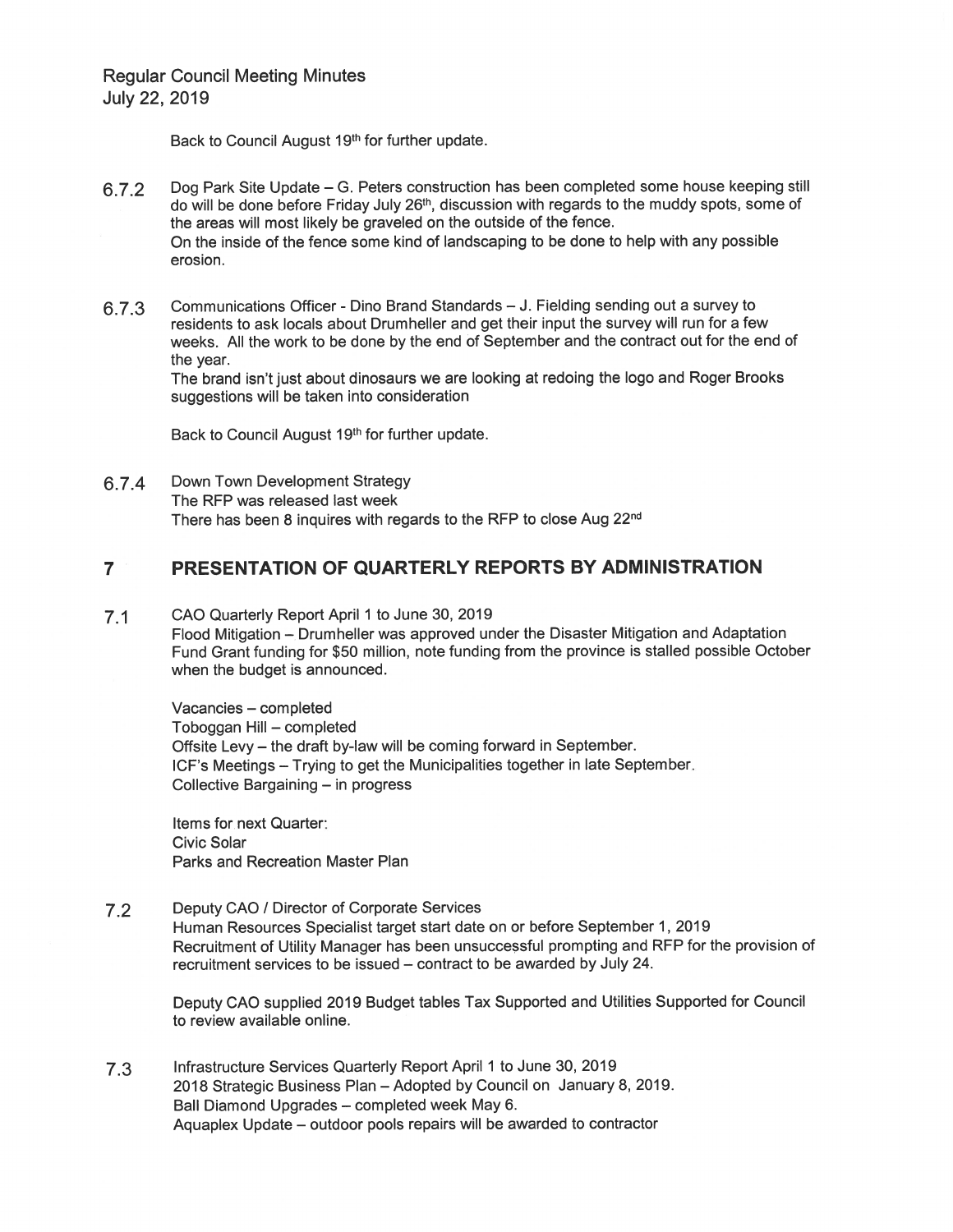Back to Council August 19th for further update.

- 6.7.2 Dog Park Site Update – G. Peters construction has been completed some house keeping still do will be done before Friday July 26<sup>th</sup>, discussion with regards to the muddy spots, some of the areas will most likely be graveled on the outside of the fence. On the inside of the fence some kind of landscaping to be done to help with any possible erosion.
- Communications Officer Dino Brand Standards J. Fielding sending out a survey to 6.7.3 residents to ask locals about Drumheller and get their input the survey will run for a few weeks. All the work to be done by the end of September and the contract out for the end of the year.

The brand isn't just about dinosaurs we are looking at redoing the logo and Roger Brooks suggestions will be taken into consideration

Back to Council August 19th for further update.

Down Town Development Strategy 6.7.4 The RFP was released last week There has been 8 inquires with regards to the RFP to close Aug 22nd

### PRESENTATION OF QUARTERLY REPORTS BY ADMINISTRATION  $\overline{7}$

CAO Quarterly Report April 1 to June 30, 2019  $7.1$ 

Flood Mitigation - Drumheller was approved under the Disaster Mitigation and Adaptation Fund Grant funding for \$50 million, note funding from the province is stalled possible October when the budget is announced.

Vacancies - completed Toboggan Hill - completed Offsite Levy - the draft by-law will be coming forward in September. ICF's Meetings - Trying to get the Municipalities together in late September. Collective Bargaining - in progress

Items for next Quarter: **Civic Solar** Parks and Recreation Master Plan

Deputy CAO / Director of Corporate Services  $7.2$ 

Human Resources Specialist target start date on or before September 1, 2019 Recruitment of Utility Manager has been unsuccessful prompting and RFP for the provision of recruitment services to be issued – contract to be awarded by July 24.

Deputy CAO supplied 2019 Budget tables Tax Supported and Utilities Supported for Council to review available online.

 $7.3$ Infrastructure Services Quarterly Report April 1 to June 30, 2019 2018 Strategic Business Plan - Adopted by Council on January 8, 2019. Ball Diamond Upgrades - completed week May 6. Aquaplex Update – outdoor pools repairs will be awarded to contractor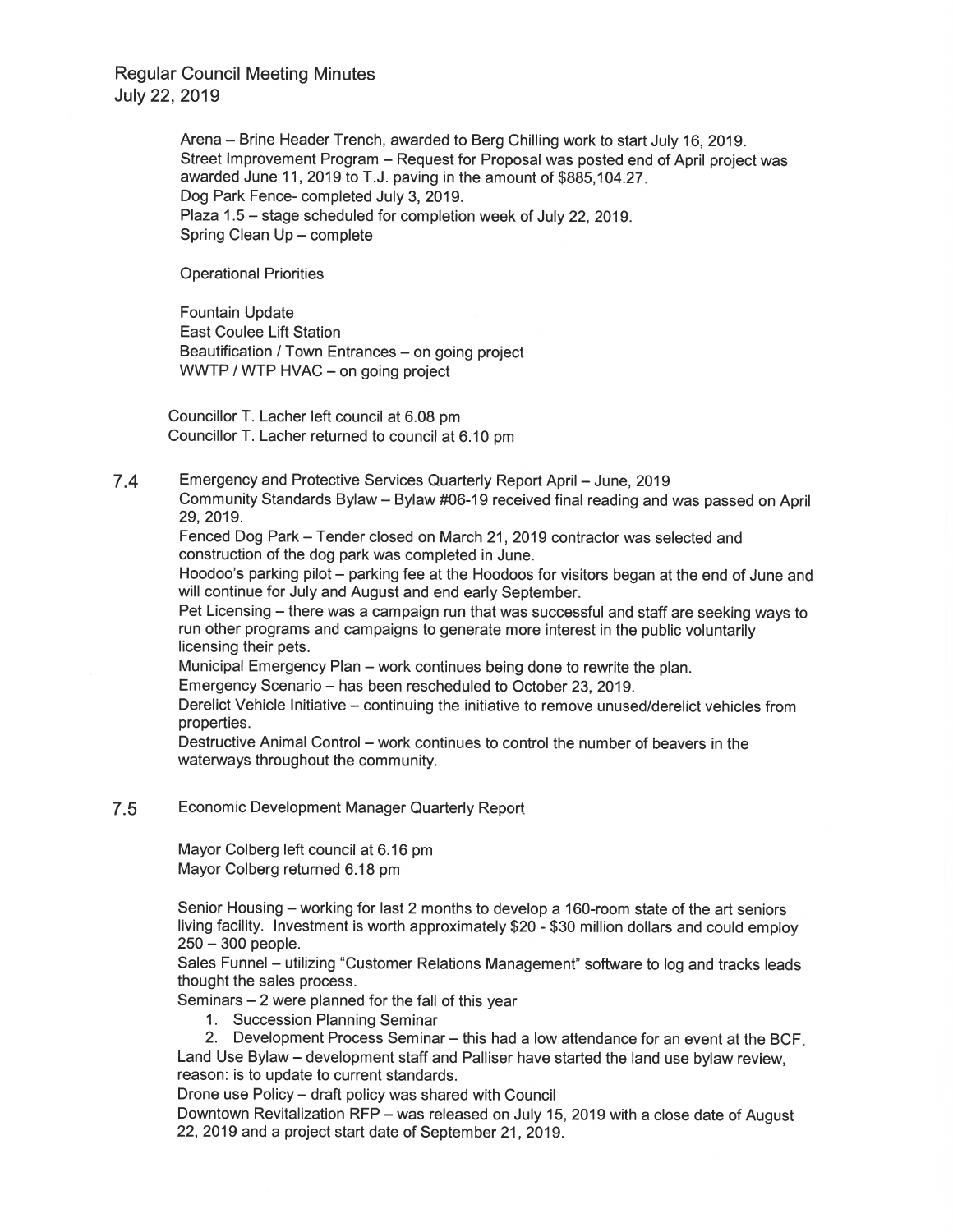> Arena - Brine Header Trench, awarded to Berg Chilling work to start July 16, 2019. Street Improvement Program – Request for Proposal was posted end of April project was awarded June 11, 2019 to T.J. paving in the amount of \$885,104.27. Dog Park Fence-completed July 3, 2019. Plaza 1.5 – stage scheduled for completion week of July 22, 2019. Spring Clean Up - complete

**Operational Priorities** 

**Fountain Update East Coulee Lift Station** Beautification / Town Entrances - on going project WWTP / WTP HVAC - on going project

Councillor T. Lacher left council at 6.08 pm Councillor T. Lacher returned to council at 6.10 pm

 $7.4$ Emergency and Protective Services Quarterly Report April - June, 2019 Community Standards Bylaw - Bylaw #06-19 received final reading and was passed on April 29, 2019.

Fenced Dog Park - Tender closed on March 21, 2019 contractor was selected and construction of the dog park was completed in June.

Hoodoo's parking pilot - parking fee at the Hoodoos for visitors began at the end of June and will continue for July and August and end early September.

Pet Licensing - there was a campaign run that was successful and staff are seeking ways to run other programs and campaigns to generate more interest in the public voluntarily licensing their pets.

Municipal Emergency Plan - work continues being done to rewrite the plan.

Emergency Scenario – has been rescheduled to October 23, 2019.

Derelict Vehicle Initiative - continuing the initiative to remove unused/derelict vehicles from properties.

Destructive Animal Control - work continues to control the number of beavers in the waterways throughout the community.

#### $7.5$ Economic Development Manager Quarterly Report

Mayor Colberg left council at 6.16 pm Mayor Colberg returned 6.18 pm

Senior Housing - working for last 2 months to develop a 160-room state of the art seniors living facility. Investment is worth approximately \$20 - \$30 million dollars and could employ  $250 - 300$  people.

Sales Funnel – utilizing "Customer Relations Management" software to log and tracks leads thought the sales process.

Seminars  $-2$  were planned for the fall of this year

1. Succession Planning Seminar

2. Development Process Seminar – this had a low attendance for an event at the BCF. Land Use Bylaw - development staff and Palliser have started the land use bylaw review, reason: is to update to current standards.

Drone use Policy - draft policy was shared with Council

Downtown Revitalization RFP - was released on July 15, 2019 with a close date of August 22, 2019 and a project start date of September 21, 2019.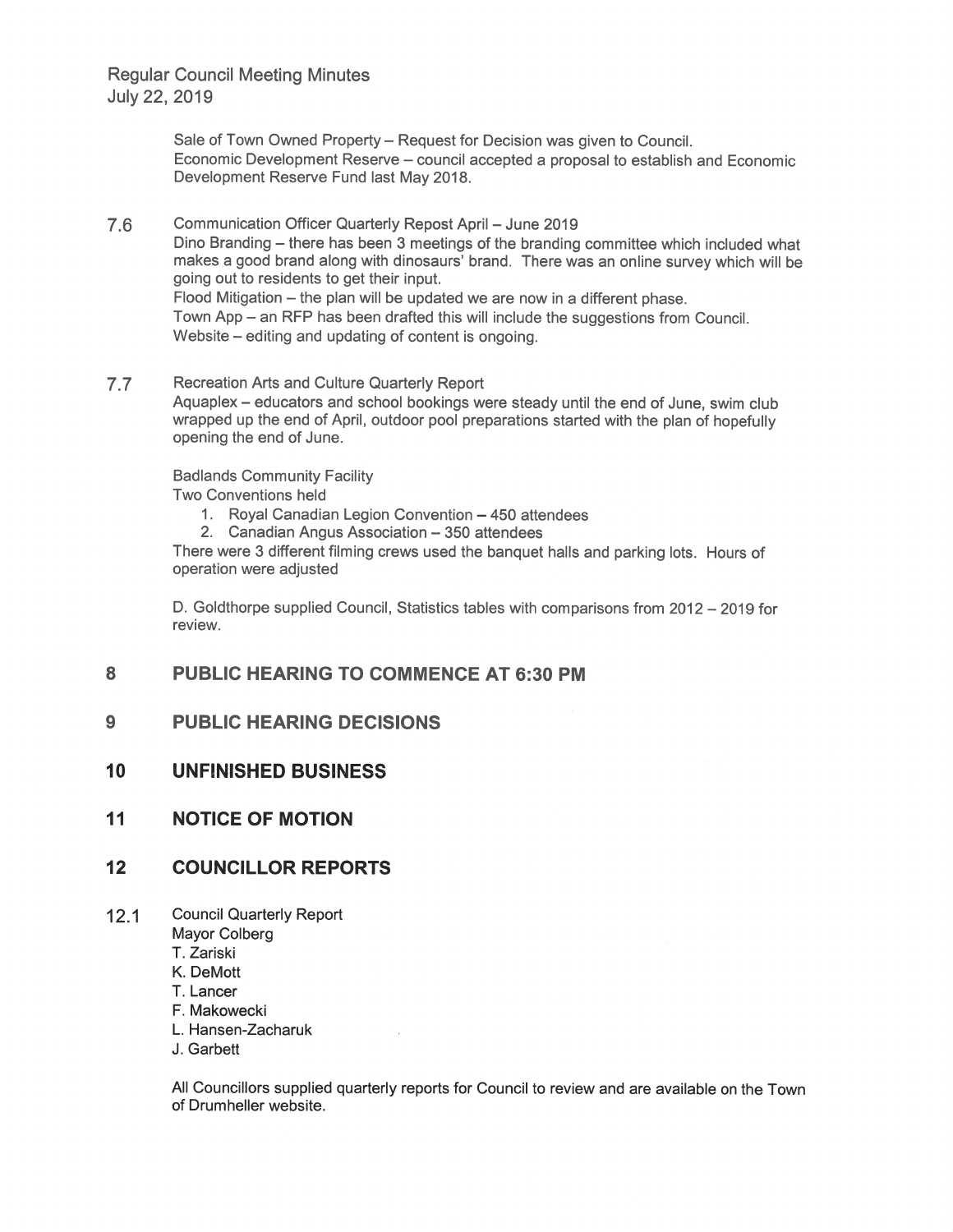> Sale of Town Owned Property - Request for Decision was given to Council. Economic Development Reserve - council accepted a proposal to establish and Economic Development Reserve Fund last May 2018.

7.6 Communication Officer Quarterly Repost April - June 2019 Dino Branding - there has been 3 meetings of the branding committee which included what makes a good brand along with dinosaurs' brand. There was an online survey which will be going out to residents to get their input. Flood Mitigation - the plan will be updated we are now in a different phase. Town App - an RFP has been drafted this will include the suggestions from Council. Website – editing and updating of content is ongoing.

#### $7.7$ Recreation Arts and Culture Quarterly Report

Aquaplex - educators and school bookings were steady until the end of June, swim club wrapped up the end of April, outdoor pool preparations started with the plan of hopefully opening the end of June.

**Badlands Community Facility** 

Two Conventions held

- 1. Royal Canadian Legion Convention 450 attendees
- 2. Canadian Angus Association 350 attendees

There were 3 different filming crews used the banquet halls and parking lots. Hours of operation were adjusted

D. Goldthorpe supplied Council, Statistics tables with comparisons from 2012 - 2019 for review.

#### 8 **PUBLIC HEARING TO COMMENCE AT 6:30 PM**

#### $9$ **PUBLIC HEARING DECISIONS**

- 10 **UNFINISHED BUSINESS**
- $11$ **NOTICE OF MOTION**

#### $12$ **COUNCILLOR REPORTS**

- $12.1$ **Council Quarterly Report** 
	- Mayor Colberg
	- T. Zariski
	- K. DeMott
	- T. Lancer
	- F. Makowecki
	- L. Hansen-Zacharuk
	- J. Garbett

All Councillors supplied quarterly reports for Council to review and are available on the Town of Drumheller website.